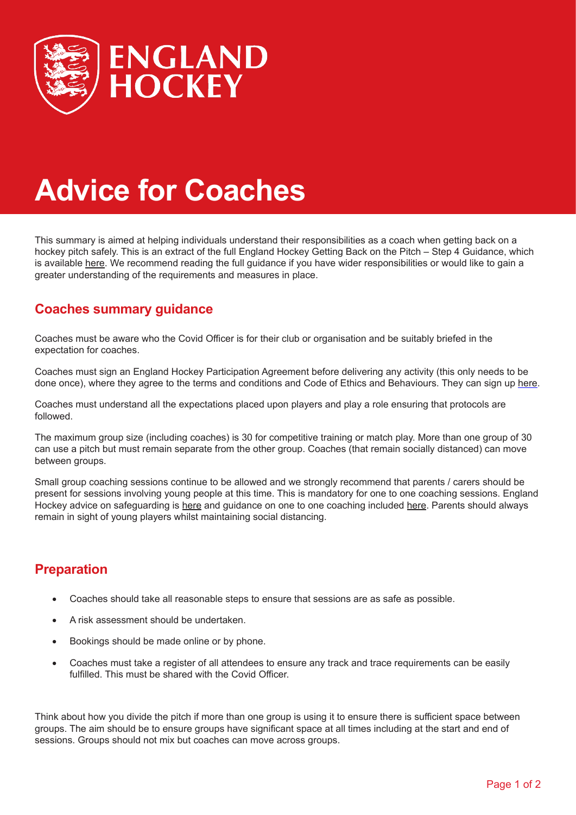

# **Advice for Coaches**

This summary is aimed at helping individuals understand their responsibilities as a coach when getting back on a hockey pitch safely. This is an extract of the full England Hockey Getting Back on the Pitch – Step 4 Guidance, which is available [here](http://www.englandhockey.co.uk/Covid19). We recommend reading the full guidance if you have wider responsibilities or would like to gain a greater understanding of the requirements and measures in place.

## **Coaches summary guidance**

Coaches must be aware who the Covid Officer is for their club or organisation and be suitably briefed in the expectation for coaches.

Coaches must sign an England Hockey Participation Agreement before delivering any activity (this only needs to be done once), where they agree to the terms and conditions and Code of Ethics and Behaviours. They can sign up [here.](http://www.englandhockey.co.uk/covid19)

Coaches must understand all the expectations placed upon players and play a role ensuring that protocols are followed.

The maximum group size (including coaches) is 30 for competitive training or match play. More than one group of 30 can use a pitch but must remain separate from the other group. Coaches (that remain socially distanced) can move between groups.

Small group coaching sessions continue to be allowed and we strongly recommend that parents / carers should be present for sessions involving young people at this time. This is mandatory for one to one coaching sessions. England Hockey advice on safeguarding is [here](http://www.englandhockey.co.uk/page.asp?section=1168§ionTitle=Safeguarding+%26+Protecting+Young+People) and guidance on one to one coaching included [here.](http://www.englandhockey.co.uk/core/core_picker/download.asp?id=12264) Parents should always remain in sight of young players whilst maintaining social distancing.

## **Preparation**

- Coaches should take all reasonable steps to ensure that sessions are as safe as possible.
- A risk assessment should be undertaken.
- Bookings should be made online or by phone.
- Coaches must take a register of all attendees to ensure any track and trace requirements can be easily fulfilled. This must be shared with the Covid Officer.

Think about how you divide the pitch if more than one group is using it to ensure there is sufficient space between groups. The aim should be to ensure groups have significant space at all times including at the start and end of sessions. Groups should not mix but coaches can move across groups.